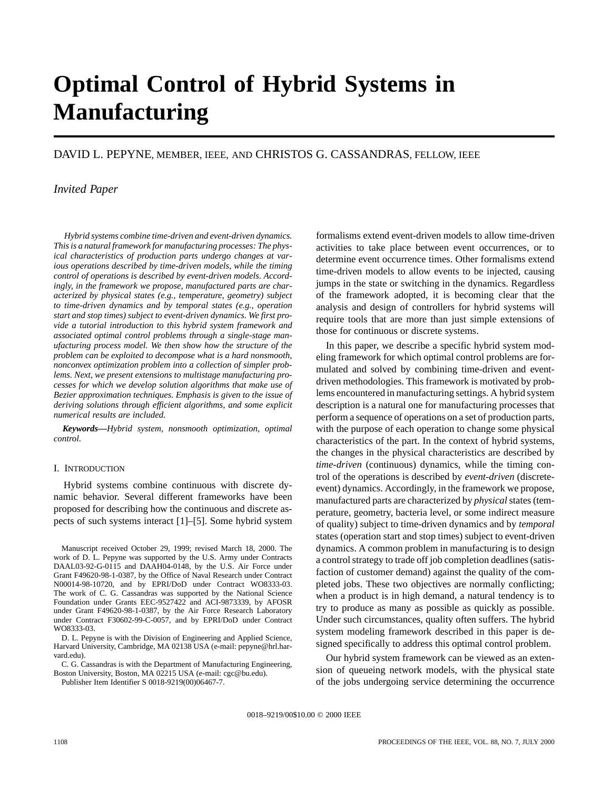# **Optimal Control of Hybrid Systems in Manufacturing**

# DAVID L. PEPYNE, MEMBER, IEEE, AND CHRISTOS G. CASSANDRAS, FELLOW, IEEE

# *Invited Paper*

*Hybrid systems combine time-driven and event-driven dynamics. This is a natural framework for manufacturing processes: The physical characteristics of production parts undergo changes at various operations described by time-driven models, while the timing control of operations is described by event-driven models. Accordingly, in the framework we propose, manufactured parts are characterized by physical states (e.g., temperature, geometry) subject to time-driven dynamics and by temporal states (e.g., operation start and stop times) subject to event-driven dynamics. We first provide a tutorial introduction to this hybrid system framework and associated optimal control problems through a single-stage manufacturing process model. We then show how the structure of the problem can be exploited to decompose what is a hard nonsmooth, nonconvex optimization problem into a collection of simpler problems. Next, we present extensions to multistage manufacturing processes for which we develop solution algorithms that make use of Bezier approximation techniques. Emphasis is given to the issue of deriving solutions through efficient algorithms, and some explicit numerical results are included.*

*Keywords—Hybrid system, nonsmooth optimization, optimal control.*

# I. INTRODUCTION

Hybrid systems combine continuous with discrete dynamic behavior. Several different frameworks have been proposed for describing how the continuous and discrete aspects of such systems interact [1]–[5]. Some hybrid system

Manuscript received October 29, 1999; revised March 18, 2000. The work of D. L. Pepyne was supported by the U.S. Army under Contracts DAAL03-92-G-0115 and DAAH04-0148, by the U.S. Air Force under Grant F49620-98-1-0387, by the Office of Naval Research under Contract N00014-98-10720, and by EPRI/DoD under Contract WO8333-03. The work of C. G. Cassandras was supported by the National Science Foundation under Grants EEC-9527422 and ACI-9873339, by AFOSR under Grant F49620-98-1-0387, by the Air Force Research Laboratory under Contract F30602-99-C-0057, and by EPRI/DoD under Contract WO8333-03.

D. L. Pepyne is with the Division of Engineering and Applied Science, Harvard University, Cambridge, MA 02138 USA (e-mail: pepyne@hrl.harvard.edu).

C. G. Cassandras is with the Department of Manufacturing Engineering, Boston University, Boston, MA 02215 USA (e-mail: cgc@bu.edu).

Publisher Item Identifier S 0018-9219(00)06467-7.

formalisms extend event-driven models to allow time-driven activities to take place between event occurrences, or to determine event occurrence times. Other formalisms extend time-driven models to allow events to be injected, causing jumps in the state or switching in the dynamics. Regardless of the framework adopted, it is becoming clear that the analysis and design of controllers for hybrid systems will require tools that are more than just simple extensions of those for continuous or discrete systems.

In this paper, we describe a specific hybrid system modeling framework for which optimal control problems are formulated and solved by combining time-driven and eventdriven methodologies. This framework is motivated by problems encountered in manufacturing settings. A hybrid system description is a natural one for manufacturing processes that perform a sequence of operations on a set of production parts, with the purpose of each operation to change some physical characteristics of the part. In the context of hybrid systems, the changes in the physical characteristics are described by *time-driven* (continuous) dynamics, while the timing control of the operations is described by *event-driven* (discreteevent) dynamics. Accordingly, in the framework we propose, manufactured parts are characterized by *physical*states (temperature, geometry, bacteria level, or some indirect measure of quality) subject to time-driven dynamics and by *temporal* states (operation start and stop times) subject to event-driven dynamics. A common problem in manufacturing is to design a control strategy to trade off job completion deadlines (satisfaction of customer demand) against the quality of the completed jobs. These two objectives are normally conflicting; when a product is in high demand, a natural tendency is to try to produce as many as possible as quickly as possible. Under such circumstances, quality often suffers. The hybrid system modeling framework described in this paper is designed specifically to address this optimal control problem.

Our hybrid system framework can be viewed as an extension of queueing network models, with the physical state of the jobs undergoing service determining the occurrence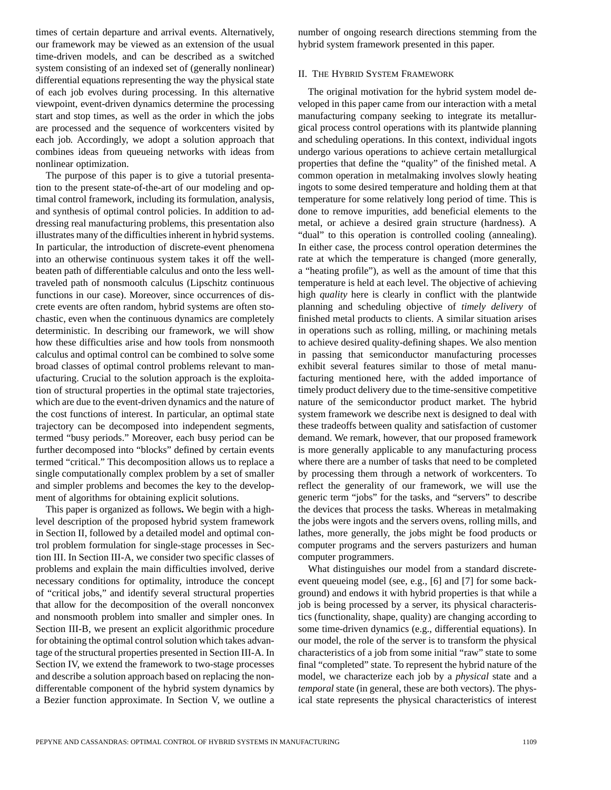times of certain departure and arrival events. Alternatively, our framework may be viewed as an extension of the usual time-driven models, and can be described as a switched system consisting of an indexed set of (generally nonlinear) differential equations representing the way the physical state of each job evolves during processing. In this alternative viewpoint, event-driven dynamics determine the processing start and stop times, as well as the order in which the jobs are processed and the sequence of workcenters visited by each job. Accordingly, we adopt a solution approach that combines ideas from queueing networks with ideas from nonlinear optimization.

The purpose of this paper is to give a tutorial presentation to the present state-of-the-art of our modeling and optimal control framework, including its formulation, analysis, and synthesis of optimal control policies. In addition to addressing real manufacturing problems, this presentation also illustrates many of the difficulties inherent in hybrid systems. In particular, the introduction of discrete-event phenomena into an otherwise continuous system takes it off the wellbeaten path of differentiable calculus and onto the less welltraveled path of nonsmooth calculus (Lipschitz continuous functions in our case). Moreover, since occurrences of discrete events are often random, hybrid systems are often stochastic, even when the continuous dynamics are completely deterministic. In describing our framework, we will show how these difficulties arise and how tools from nonsmooth calculus and optimal control can be combined to solve some broad classes of optimal control problems relevant to manufacturing. Crucial to the solution approach is the exploitation of structural properties in the optimal state trajectories, which are due to the event-driven dynamics and the nature of the cost functions of interest. In particular, an optimal state trajectory can be decomposed into independent segments, termed "busy periods." Moreover, each busy period can be further decomposed into "blocks" defined by certain events termed "critical." This decomposition allows us to replace a single computationally complex problem by a set of smaller and simpler problems and becomes the key to the development of algorithms for obtaining explicit solutions.

This paper is organized as follows**.** We begin with a highlevel description of the proposed hybrid system framework in Section II, followed by a detailed model and optimal control problem formulation for single-stage processes in Section III. In Section III-A, we consider two specific classes of problems and explain the main difficulties involved, derive necessary conditions for optimality, introduce the concept of "critical jobs," and identify several structural properties that allow for the decomposition of the overall nonconvex and nonsmooth problem into smaller and simpler ones. In Section III-B, we present an explicit algorithmic procedure for obtaining the optimal control solution which takes advantage of the structural properties presented in Section III-A. In Section IV, we extend the framework to two-stage processes and describe a solution approach based on replacing the nondifferentable component of the hybrid system dynamics by a Bezier function approximate. In Section V, we outline a

number of ongoing research directions stemming from the hybrid system framework presented in this paper.

### II. THE HYBRID SYSTEM FRAMEWORK

The original motivation for the hybrid system model developed in this paper came from our interaction with a metal manufacturing company seeking to integrate its metallurgical process control operations with its plantwide planning and scheduling operations. In this context, individual ingots undergo various operations to achieve certain metallurgical properties that define the "quality" of the finished metal. A common operation in metalmaking involves slowly heating ingots to some desired temperature and holding them at that temperature for some relatively long period of time. This is done to remove impurities, add beneficial elements to the metal, or achieve a desired grain structure (hardness). A "dual" to this operation is controlled cooling (annealing). In either case, the process control operation determines the rate at which the temperature is changed (more generally, a "heating profile"), as well as the amount of time that this temperature is held at each level. The objective of achieving high *quality* here is clearly in conflict with the plantwide planning and scheduling objective of *timely delivery* of finished metal products to clients. A similar situation arises in operations such as rolling, milling, or machining metals to achieve desired quality-defining shapes. We also mention in passing that semiconductor manufacturing processes exhibit several features similar to those of metal manufacturing mentioned here, with the added importance of timely product delivery due to the time-sensitive competitive nature of the semiconductor product market. The hybrid system framework we describe next is designed to deal with these tradeoffs between quality and satisfaction of customer demand. We remark, however, that our proposed framework is more generally applicable to any manufacturing process where there are a number of tasks that need to be completed by processing them through a network of workcenters. To reflect the generality of our framework, we will use the generic term "jobs" for the tasks, and "servers" to describe the devices that process the tasks. Whereas in metalmaking the jobs were ingots and the servers ovens, rolling mills, and lathes, more generally, the jobs might be food products or computer programs and the servers pasturizers and human computer programmers.

What distinguishes our model from a standard discreteevent queueing model (see, e.g., [6] and [7] for some background) and endows it with hybrid properties is that while a job is being processed by a server, its physical characteristics (functionality, shape, quality) are changing according to some time-driven dynamics (e.g., differential equations). In our model, the role of the server is to transform the physical characteristics of a job from some initial "raw" state to some final "completed" state. To represent the hybrid nature of the model, we characterize each job by a *physical* state and a *temporal* state (in general, these are both vectors). The physical state represents the physical characteristics of interest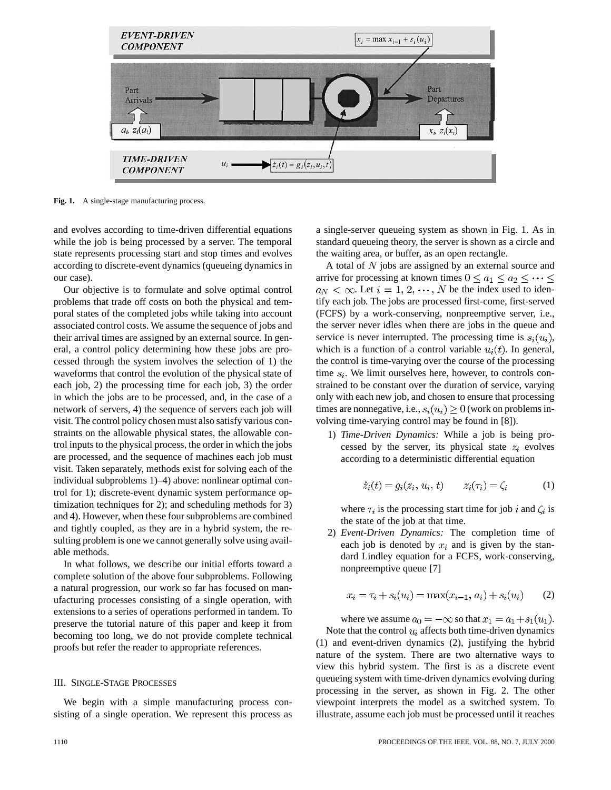

**Fig. 1.** A single-stage manufacturing process.

and evolves according to time-driven differential equations while the job is being processed by a server. The temporal state represents processing start and stop times and evolves according to discrete-event dynamics (queueing dynamics in our case).

Our objective is to formulate and solve optimal control problems that trade off costs on both the physical and temporal states of the completed jobs while taking into account associated control costs. We assume the sequence of jobs and their arrival times are assigned by an external source. In general, a control policy determining how these jobs are processed through the system involves the selection of 1) the waveforms that control the evolution of the physical state of each job, 2) the processing time for each job, 3) the order in which the jobs are to be processed, and, in the case of a network of servers, 4) the sequence of servers each job will visit. The control policy chosen must also satisfy various constraints on the allowable physical states, the allowable control inputs to the physical process, the order in which the jobs are processed, and the sequence of machines each job must visit. Taken separately, methods exist for solving each of the individual subproblems 1)–4) above: nonlinear optimal control for 1); discrete-event dynamic system performance optimization techniques for 2); and scheduling methods for 3) and 4). However, when these four subproblems are combined and tightly coupled, as they are in a hybrid system, the resulting problem is one we cannot generally solve using available methods.

In what follows, we describe our initial efforts toward a complete solution of the above four subproblems. Following a natural progression, our work so far has focused on manufacturing processes consisting of a single operation, with extensions to a series of operations performed in tandem. To preserve the tutorial nature of this paper and keep it from becoming too long, we do not provide complete technical proofs but refer the reader to appropriate references.

# III. SINGLE-STAGE PROCESSES

We begin with a simple manufacturing process consisting of a single operation. We represent this process as a single-server queueing system as shown in Fig. 1. As in standard queueing theory, the server is shown as a circle and the waiting area, or buffer, as an open rectangle.

A total of  $N$  jobs are assigned by an external source and arrive for processing at known times  $0 \le a_1 \le a_2 \le \cdots \le$  $a_N < \infty$ . Let  $i = 1, 2, \dots, N$  be the index used to identify each job. The jobs are processed first-come, first-served (FCFS) by a work-conserving, nonpreemptive server, i.e., the server never idles when there are jobs in the queue and service is never interrupted. The processing time is  $s_i(u_i)$ , which is a function of a control variable  $u_i(t)$ . In general, the control is time-varying over the course of the processing time  $s_i$ . We limit ourselves here, however, to controls constrained to be constant over the duration of service, varying only with each new job, and chosen to ensure that processing times are nonnegative, i.e.,  $s_i(u_i) \geq 0$  (work on problems involving time-varying control may be found in [8]).

1) *Time-Driven Dynamics:* While a job is being processed by the server, its physical state  $z_i$  evolves according to a deterministic differential equation

$$
\dot{z}_i(t) = g_i(z_i, u_i, t) \qquad z_i(\tau_i) = \zeta_i \tag{1}
$$

where  $\tau_i$  is the processing start time for job i and  $\zeta_i$  is the state of the job at that time.

2) *Event-Driven Dynamics:* The completion time of each job is denoted by  $x_i$  and is given by the standard Lindley equation for a FCFS, work-conserving, nonpreemptive queue [7]

$$
x_i = \tau_i + s_i(u_i) = \max(x_{i-1}, a_i) + s_i(u_i) \tag{2}
$$

where we assume  $a_0 = -\infty$  so that  $x_1 = a_1 + s_1(u_1)$ . Note that the control  $u_i$  affects both time-driven dynamics (1) and event-driven dynamics (2), justifying the hybrid nature of the system. There are two alternative ways to view this hybrid system. The first is as a discrete event queueing system with time-driven dynamics evolving during processing in the server, as shown in Fig. 2. The other viewpoint interprets the model as a switched system. To illustrate, assume each job must be processed until it reaches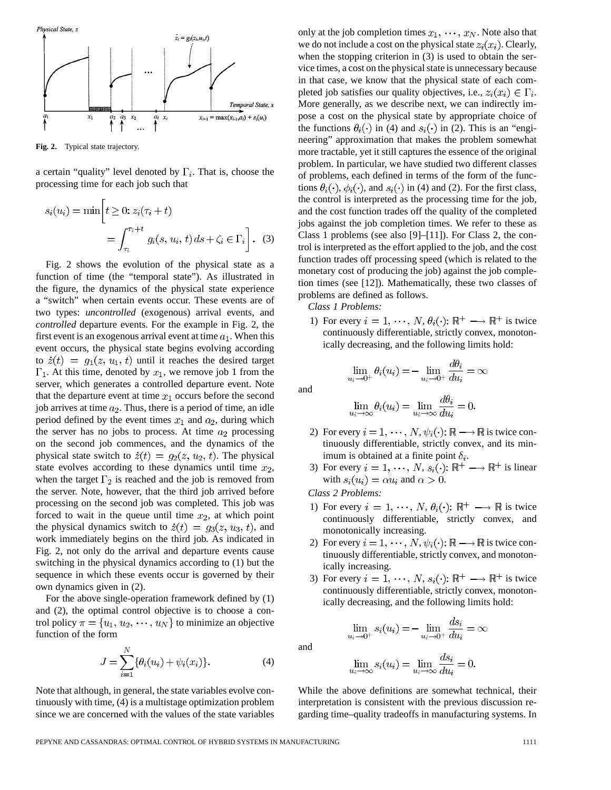

Fig. 2. Typical state trajectory.

a certain "quality" level denoted by  $\Gamma_i$ . That is, choose the processing time for each job such that

$$
s_i(u_i) = \min \left[ t \ge 0 : z_i(\tau_i + t) \right]
$$

$$
= \int_{\tau_i}^{\tau_i + t} g_i(s, u_i, t) ds + \zeta_i \in \Gamma_i \right]. \tag{3}
$$

Fig. 2 shows the evolution of the physical state as a function of time (the "temporal state"). As illustrated in the figure, the dynamics of the physical state experience a "switch" when certain events occur. These events are of two types: *uncontrolled* (exogenous) arrival events, and *controlled* departure events. For the example in Fig. 2, the first event is an exogenous arrival event at time  $a_1$ . When this event occurs, the physical state begins evolving according to  $\dot{z}(t) = g_1(z, u_1, t)$  until it reaches the desired target  $\Gamma_1$ . At this time, denoted by  $x_1$ , we remove job 1 from the server, which generates a controlled departure event. Note that the departure event at time  $x_1$  occurs before the second job arrives at time  $a_2$ . Thus, there is a period of time, an idle period defined by the event times  $x_1$  and  $a_2$ , during which the server has no jobs to process. At time  $a_2$  processing on the second job commences, and the dynamics of the physical state switch to  $\dot{z}(t) = g_2(z, u_2, t)$ . The physical state evolves according to these dynamics until time  $x_2$ , when the target  $\Gamma_2$  is reached and the job is removed from the server. Note, however, that the third job arrived before processing on the second job was completed. This job was forced to wait in the queue until time  $x_2$ , at which point the physical dynamics switch to  $\dot{z}(t) = g_3(z, u_3, t)$ , and work immediately begins on the third job. As indicated in Fig. 2, not only do the arrival and departure events cause switching in the physical dynamics according to (1) but the sequence in which these events occur is governed by their own dynamics given in (2).

For the above single-operation framework defined by (1) and (2), the optimal control objective is to choose a control policy  $\pi = \{u_1, u_2, \dots, u_N\}$  to minimize an objective function of the form

$$
J = \sum_{i=1}^{N} {\{\theta_i(u_i) + \psi_i(x_i)\}}.
$$
 (4)

Note that although, in general, the state variables evolve continuously with time, (4) is a multistage optimization problem since we are concerned with the values of the state variables only at the job completion times  $x_1, \dots, x_N$ . Note also that we do not include a cost on the physical state  $z_i(x_i)$ . Clearly, when the stopping criterion in  $(3)$  is used to obtain the service times, a cost on the physical state is unnecessary because in that case, we know that the physical state of each completed job satisfies our quality objectives, i.e.,  $z_i(x_i) \in \Gamma_i$ . More generally, as we describe next, we can indirectly impose a cost on the physical state by appropriate choice of the functions  $\theta_i(\cdot)$  in (4) and  $s_i(\cdot)$  in (2). This is an "engineering" approximation that makes the problem somewhat more tractable, yet it still captures the essence of the original problem. In particular, we have studied two different classes of problems, each defined in terms of the form of the functions  $\theta_i(\cdot)$ ,  $\phi_i(\cdot)$ , and  $s_i(\cdot)$  in (4) and (2). For the first class, the control is interpreted as the processing time for the job, and the cost function trades off the quality of the completed jobs against the job completion times. We refer to these as Class 1 problems (see also [9]–[11]). For Class 2, the control is interpreted as the effort applied to the job, and the cost function trades off processing speed (which is related to the monetary cost of producing the job) against the job completion times (see [12]). Mathematically, these two classes of problems are defined as follows.

*Class 1 Problems:*

1) For every  $i = 1, \dots, N, \theta_i(\cdot)$ :  $\mathbb{R}^+ \longrightarrow \mathbb{R}^+$  is twice continuously differentiable, strictly convex, monotonically decreasing, and the following limits hold:

and

and

$$
\lim_{u_i \to \infty} \theta_i(u_i) = \lim_{u_i \to \infty} \frac{d\theta_i}{du_i} = 0.
$$

 $\lim_{u_i \to 0^+} \theta_i(u_i) = -\lim_{u_i \to 0^+} \frac{d\theta_i}{du_i} = \infty$ 

- 2) For every  $i = 1, \dots, N$ ,  $\psi_i(\cdot)$ :  $\mathbb{R} \longrightarrow \mathbb{R}$  is twice continuously differentiable, strictly convex, and its minimum is obtained at a finite point  $\delta_i$ .
- 3) For every  $i = 1, \dots, N$ ,  $s_i(\cdot)$ :  $\mathbb{R}^+ \longrightarrow \mathbb{R}^+$  is linear with  $s_i(u_i) = \alpha u_i$  and  $\alpha > 0$ .

*Class 2 Problems:*

- 1) For every  $i = 1, \dots, N, \theta_i(\cdot)$ :  $\mathbb{R}^+ \longrightarrow \mathbb{R}$  is twice continuously differentiable, strictly convex, and monotonically increasing.
- 2) For every  $i = 1, \dots, N, \psi_i(\cdot) : \mathbb{R} \longrightarrow \mathbb{R}$  is twice continuously differentiable, strictly convex, and monotonically increasing.
- 3) For every  $i = 1, \dots, N$ ,  $s_i(\cdot)$ :  $\mathbb{R}^+ \longrightarrow \mathbb{R}^+$  is twice continuously differentiable, strictly convex, monotonically decreasing, and the following limits hold:

$$
\lim_{u_i \to 0^+} s_i(u_i) = -\lim_{u_i \to 0^+} \frac{ds_i}{du_i} = \infty
$$

 $\lim s_i(u_i) = \lim \frac{ds_i}{l} = 0.$ 

$$
u_i \rightarrow \infty \quad u_i \rightarrow \infty \quad \text{and}
$$
\nWhile the above definitions are somewhat technical, their interpretation is consistent with the previous discussion re-

garding time–quality tradeoffs in manufacturing systems. In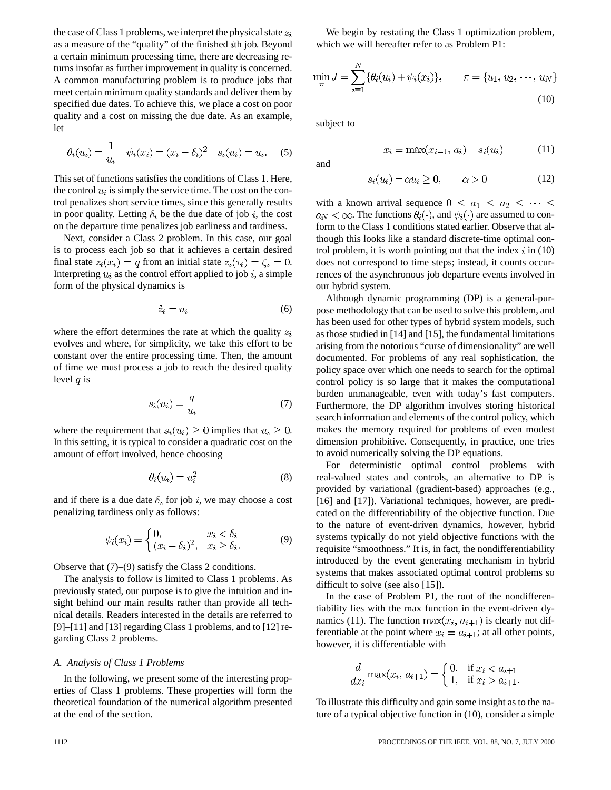the case of Class 1 problems, we interpret the physical state  $z_i$ as a measure of the "quality" of the finished  $i$ th job. Beyond a certain minimum processing time, there are decreasing returns insofar as further improvement in quality is concerned. A common manufacturing problem is to produce jobs that meet certain minimum quality standards and deliver them by specified due dates. To achieve this, we place a cost on poor quality and a cost on missing the due date. As an example, let

$$
\theta_i(u_i) = \frac{1}{u_i} \quad \psi_i(x_i) = (x_i - \delta_i)^2 \quad s_i(u_i) = u_i.
$$
 (5)

This set of functions satisfies the conditions of Class 1. Here, the control  $u_i$  is simply the service time. The cost on the control penalizes short service times, since this generally results in poor quality. Letting  $\delta_i$  be the due date of job i, the cost on the departure time penalizes job earliness and tardiness.

Next, consider a Class 2 problem. In this case, our goal is to process each job so that it achieves a certain desired final state  $z_i(x_i) = q$  from an initial state  $z_i(\tau_i) = \zeta_i = 0$ . Interpreting  $u_i$  as the control effort applied to job  $i$ , a simple form of the physical dynamics is

$$
\dot{z}_i = u_i \tag{6}
$$

where the effort determines the rate at which the quality  $z_i$ evolves and where, for simplicity, we take this effort to be constant over the entire processing time. Then, the amount of time we must process a job to reach the desired quality level  $q$  is

$$
s_i(u_i) = \frac{q}{u_i} \tag{7}
$$

where the requirement that  $s_i(u_i) \geq 0$  implies that  $u_i \geq 0$ . In this setting, it is typical to consider a quadratic cost on the amount of effort involved, hence choosing

$$
\theta_i(u_i) = u_i^2 \tag{8}
$$

and if there is a due date  $\delta_i$  for job i, we may choose a cost penalizing tardiness only as follows:

$$
\psi_i(x_i) = \begin{cases} 0, & x_i < \delta_i \\ (x_i - \delta_i)^2, & x_i \ge \delta_i. \end{cases}
$$
 (9)

Observe that  $(7)$ – $(9)$  satisfy the Class 2 conditions.

The analysis to follow is limited to Class 1 problems. As previously stated, our purpose is to give the intuition and insight behind our main results rather than provide all technical details. Readers interested in the details are referred to [9]–[11] and [13] regarding Class 1 problems, and to [12] regarding Class 2 problems.

#### *A. Analysis of Class 1 Problems*

In the following, we present some of the interesting properties of Class 1 problems. These properties will form the theoretical foundation of the numerical algorithm presented at the end of the section.

We begin by restating the Class 1 optimization problem, which we will hereafter refer to as Problem P1:

$$
\min_{\pi} J = \sum_{i=1}^{N} \{ \theta_i(u_i) + \psi_i(x_i) \}, \qquad \pi = \{ u_1, u_2, \cdots, u_N \}
$$
\n(10)

subject to

$$
x_i = \max(x_{i-1}, a_i) + s_i(u_i)
$$
 (11)

and

$$
s_i(u_i) = \alpha u_i \ge 0, \qquad \alpha > 0 \tag{12}
$$

with a known arrival sequence  $0 \le a_1 \le a_2 \le \cdots \le$  $a_N < \infty$ . The functions  $\theta_i(\cdot)$ , and  $\psi_i(\cdot)$  are assumed to conform to the Class 1 conditions stated earlier. Observe that although this looks like a standard discrete-time optimal control problem, it is worth pointing out that the index  $i$  in (10) does not correspond to time steps; instead, it counts occurrences of the asynchronous job departure events involved in our hybrid system.

Although dynamic programming (DP) is a general-purpose methodology that can be used to solve this problem, and has been used for other types of hybrid system models, such as those studied in [14] and [15], the fundamental limitations arising from the notorious "curse of dimensionality" are well documented. For problems of any real sophistication, the policy space over which one needs to search for the optimal control policy is so large that it makes the computational burden unmanageable, even with today's fast computers. Furthermore, the DP algorithm involves storing historical search information and elements of the control policy, which makes the memory required for problems of even modest dimension prohibitive. Consequently, in practice, one tries to avoid numerically solving the DP equations.

For deterministic optimal control problems with real-valued states and controls, an alternative to DP is provided by variational (gradient-based) approaches (e.g., [16] and [17]). Variational techniques, however, are predicated on the differentiability of the objective function. Due to the nature of event-driven dynamics, however, hybrid systems typically do not yield objective functions with the requisite "smoothness." It is, in fact, the nondifferentiability introduced by the event generating mechanism in hybrid systems that makes associated optimal control problems so difficult to solve (see also [15]).

In the case of Problem P1, the root of the nondifferentiability lies with the max function in the event-driven dynamics (11). The function  $\max(x_i, a_{i+1})$  is clearly not differentiable at the point where  $x_i = a_{i+1}$ ; at all other points, however, it is differentiable with

$$
\frac{d}{dx_i} \max(x_i, a_{i+1}) = \begin{cases} 0, & \text{if } x_i < a_{i+1} \\ 1, & \text{if } x_i > a_{i+1}. \end{cases}
$$

To illustrate this difficulty and gain some insight as to the nature of a typical objective function in (10), consider a simple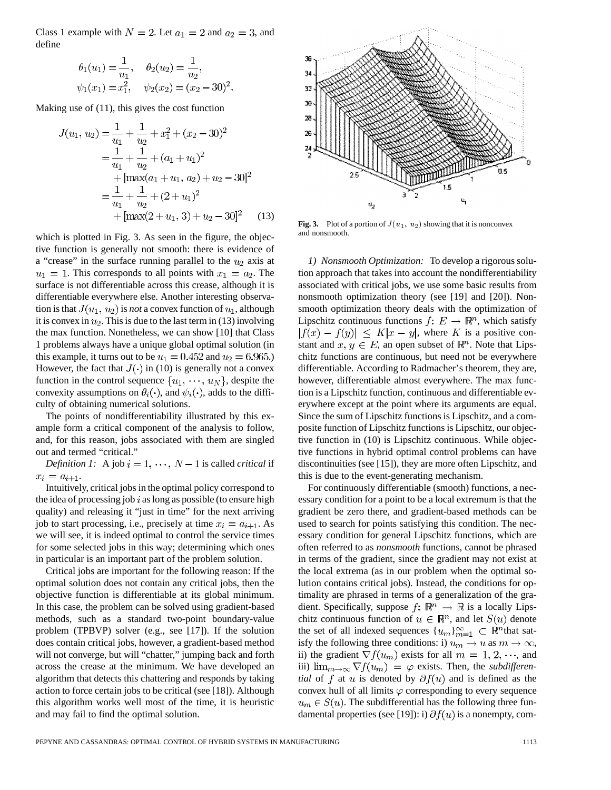Class 1 example with  $N = 2$ . Let  $a_1 = 2$  and  $a_2 = 3$ , and define

$$
\theta_1(u_1) = \frac{1}{u_1}, \quad \theta_2(u_2) = \frac{1}{u_2},
$$
  
\n $\psi_1(x_1) = x_1^2, \quad \psi_2(x_2) = (x_2 - 30)^2.$ 

Making use of (11), this gives the cost function

$$
J(u_1, u_2) = \frac{1}{u_1} + \frac{1}{u_2} + x_1^2 + (x_2 - 30)^2
$$
  
=  $\frac{1}{u_1} + \frac{1}{u_2} + (a_1 + u_1)^2$   
+  $[\max(a_1 + u_1, a_2) + u_2 - 30]^2$   
=  $\frac{1}{u_1} + \frac{1}{u_2} + (2 + u_1)^2$   
+  $[\max(2 + u_1, 3) + u_2 - 30]^2$  (13)

which is plotted in Fig. 3. As seen in the figure, the objective function is generally not smooth: there is evidence of a "crease" in the surface running parallel to the  $u_2$  axis at  $u_1 = 1$ . This corresponds to all points with  $x_1 = a_2$ . The surface is not differentiable across this crease, although it is differentiable everywhere else. Another interesting observation is that  $J(u_1, u_2)$  is *not* a convex function of  $u_1$ , although it is convex in  $u_2$ . This is due to the last term in (13) involving the max function. Nonetheless, we can show [10] that Class 1 problems always have a unique global optimal solution (in this example, it turns out to be  $u_1 = 0.452$  and  $u_2 = 6.965$ .) However, the fact that  $J(\cdot)$  in (10) is generally not a convex function in the control sequence  $\{u_1, \dots, u_N\}$ , despite the convexity assumptions on  $\theta_i(\cdot)$ , and  $\psi_i(\cdot)$ , adds to the difficulty of obtaining numerical solutions.

The points of nondifferentiability illustrated by this example form a critical component of the analysis to follow, and, for this reason, jobs associated with them are singled out and termed "critical."

*Definition 1:* A job  $i = 1, \dots, N-1$  is called *critical* if  $x_i = a_{i+1}.$ 

Intuitively, critical jobs in the optimal policy correspond to the idea of processing job  $i$  as long as possible (to ensure high quality) and releasing it "just in time" for the next arriving job to start processing, i.e., precisely at time  $x_i = a_{i+1}$ . As we will see, it is indeed optimal to control the service times for some selected jobs in this way; determining which ones in particular is an important part of the problem solution.

Critical jobs are important for the following reason: If the optimal solution does not contain any critical jobs, then the objective function is differentiable at its global minimum. In this case, the problem can be solved using gradient-based methods, such as a standard two-point boundary-value problem (TPBVP) solver (e.g., see [17]). If the solution does contain critical jobs, however, a gradient-based method will not converge, but will "chatter," jumping back and forth across the crease at the minimum. We have developed an algorithm that detects this chattering and responds by taking action to force certain jobs to be critical (see [18]). Although this algorithm works well most of the time, it is heuristic and may fail to find the optimal solution.



**Fig. 3.** Plot of a portion of  $J(u_1, u_2)$  showing that it is nonconvex and nonsmooth.

*1) Nonsmooth Optimization:* To develop a rigorous solution approach that takes into account the nondifferentiability associated with critical jobs, we use some basic results from nonsmooth optimization theory (see [19] and [20]). Nonsmooth optimization theory deals with the optimization of Lipschitz continuous functions  $f: E \to \mathbb{R}^n$ , which satisfy  $|f(x) - f(y)| \leq K|x - y|$ , where K is a positive constant and  $x, y \in E$ , an open subset of  $\mathbb{R}^n$ . Note that Lipschitz functions are continuous, but need not be everywhere differentiable. According to Radmacher's theorem, they are, however, differentiable almost everywhere. The max function is a Lipschitz function, continuous and differentiable everywhere except at the point where its arguments are equal. Since the sum of Lipschitz functions is Lipschitz, and a composite function of Lipschitz functions is Lipschitz, our objective function in (10) is Lipschitz continuous. While objective functions in hybrid optimal control problems can have discontinuities (see [15]), they are more often Lipschitz, and this is due to the event-generating mechanism.

For continuously differentiable (smooth) functions, a necessary condition for a point to be a local extremum is that the gradient be zero there, and gradient-based methods can be used to search for points satisfying this condition. The necessary condition for general Lipschitz functions, which are often referred to as *nonsmooth* functions, cannot be phrased in terms of the gradient, since the gradient may not exist at the local extrema (as in our problem when the optimal solution contains critical jobs). Instead, the conditions for optimality are phrased in terms of a generalization of the gradient. Specifically, suppose  $f: \mathbb{R}^n \to \mathbb{R}$  is a locally Lipschitz continuous function of  $u \in \mathbb{R}^n$ , and let  $S(u)$  denote the set of all indexed sequences  $\{u_m\}_{m=1}^{\infty} \subset \mathbb{R}^n$  that satisfy the following three conditions: i)  $u_m \to u$  as  $m \to \infty$ , ii) the gradient  $\nabla f(u_m)$  exists for all  $m = 1, 2, \dots$ , and iii)  $\lim_{m\to\infty} \nabla f(u_m) = \varphi$  exists. Then, the *subdifferential* of f at u is denoted by  $\partial f(u)$  and is defined as the convex hull of all limits  $\varphi$  corresponding to every sequence  $u_m \in S(u)$ . The subdifferential has the following three fundamental properties (see [19]): i)  $\partial f(u)$  is a nonempty, com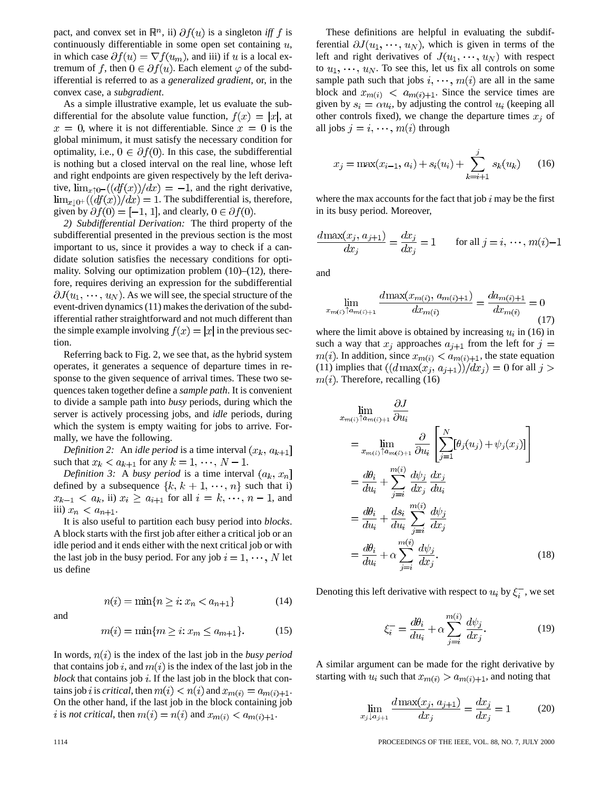pact, and convex set in  $\mathbb{R}^n$ , ii)  $\partial f(u)$  is a singleton *iff* f is continuously differentiable in some open set containing  $u$ , in which case  $\partial f(u) = \nabla f(u_m)$ , and iii) if u is a local extremum of f, then  $0 \in \partial f(u)$ . Each element  $\varphi$  of the subdifferential is referred to as a *generalized gradient*, or, in the convex case, a *subgradient*.

As a simple illustrative example, let us evaluate the subdifferential for the absolute value function,  $f(x) = |x|$ , at  $x = 0$ , where it is not differentiable. Since  $x = 0$  is the global minimum, it must satisfy the necessary condition for optimality, i.e.,  $0 \in \partial f(0)$ . In this case, the subdifferential is nothing but a closed interval on the real line, whose left and right endpoints are given respectively by the left derivative,  $\lim_{x \uparrow 0^-} ((df(x))/dx) = -1$ , and the right derivative,  $\lim_{x \to 0^+} ((df(x))/dx) = 1$ . The subdifferential is, therefore, given by  $\partial f(0) = [-1, 1]$ , and clearly,  $0 \in \partial f(0)$ .

*2) Subdifferential Derivation:* The third property of the subdifferential presented in the previous section is the most important to us, since it provides a way to check if a candidate solution satisfies the necessary conditions for optimality. Solving our optimization problem  $(10)$ – $(12)$ , therefore, requires deriving an expression for the subdifferential  $\partial J(u_1, \dots, u_N)$ . As we will see, the special structure of the event-driven dynamics (11) makes the derivation of the subdifferential rather straightforward and not much different than the simple example involving  $f(x) = |x|$  in the previous section.

Referring back to Fig. 2, we see that, as the hybrid system operates, it generates a sequence of departure times in response to the given sequence of arrival times. These two sequences taken together define a *sample path*. It is convenient to divide a sample path into *busy* periods, during which the server is actively processing jobs, and *idle* periods, during which the system is empty waiting for jobs to arrive. Formally, we have the following.

*Definition 2:* An *idle period* is a time interval  $(x_k, a_{k+1})$ such that  $x_k < a_{k+1}$  for any  $k = 1, \dots, N-1$ .

*Definition 3:* A *busy period* is a time interval  $(a_k, x_n]$ defined by a subsequence  $\{k, k+1, \dots, n\}$  such that i)  $x_{k-1} < a_k$ , ii)  $x_i \ge a_{i+1}$  for all  $i = k, \dots, n-1$ , and iii)  $x_n < a_{n+1}$ .

It is also useful to partition each busy period into *blocks*. A block starts with the first job after either a critical job or an idle period and it ends either with the next critical job or with the last job in the busy period. For any job  $i = 1, \dots, N$  let us define

and

$$
n(i) = \min\{n \ge i \colon x_n < a_{n+1}\}\tag{14}
$$

$$
m(i) = \min\{m \ge i : x_m \le a_{m+1}\}.
$$
 (15)

In words,  $n(i)$  is the index of the last job in the *busy period* that contains job i, and  $m(i)$  is the index of the last job in the *block* that contains job  $i$ . If the last job in the block that contains job *i* is *critical*, then  $m(i) < n(i)$  and  $x_{m(i)} = a_{m(i)+1}$ . On the other hand, if the last job in the block containing job i is *not critical*, then  $m(i) = n(i)$  and  $x_{m(i)} < a_{m(i)+1}$ .

These definitions are helpful in evaluating the subdifferential  $\partial J(u_1, \dots, u_N)$ , which is given in terms of the left and right derivatives of  $J(u_1, \dots, u_N)$  with respect to  $u_1, \dots, u_N$ . To see this, let us fix all controls on some sample path such that jobs  $i, \dots, m(i)$  are all in the same block and  $x_{m(i)} < a_{m(i)+1}$ . Since the service times are given by  $s_i = \alpha u_i$ , by adjusting the control  $u_i$  (keeping all other controls fixed), we change the departure times  $x_i$  of all jobs  $j = i, \dots, m(i)$  through

$$
x_j = \max(x_{i-1}, a_i) + s_i(u_i) + \sum_{k=i+1}^{j} s_k(u_k)
$$
 (16)

where the max accounts for the fact that job  $i$  may be the first in its busy period. Moreover,

$$
\frac{d\max(x_j, a_{j+1})}{dx_j} = \frac{dx_j}{dx_j} = 1 \quad \text{for all } j = i, \dots, m(i)-1
$$

and

$$
\lim_{x_{m(i)} \uparrow a_{m(i)+1}} \frac{d \max(x_{m(i)}, a_{m(i)+1})}{dx_{m(i)}} = \frac{d a_{m(i)+1}}{dx_{m(i)}} = 0
$$
\n(17)

where the limit above is obtained by increasing  $u_i$  in (16) in such a way that  $x_j$  approaches  $a_{j+1}$  from the left for  $j =$  $m(i)$ . In addition, since  $x_{m(i)} < a_{m(i)+1}$ , the state equation (11) implies that  $((d \max(x_j, a_{j+1}))/dx_j) = 0$  for all  $j >$  $m(i)$ . Therefore, recalling (16)

$$
\lim_{x_{m(i)} \uparrow a_{m(i)+1}} \frac{\partial J}{\partial u_i}
$$
\n
$$
= \lim_{x_{m(i)} \uparrow a_{m(i)+1}} \frac{\partial}{\partial u_i} \left[ \sum_{j=1}^N [\theta_j(u_j) + \psi_j(x_j)] \right]
$$
\n
$$
= \frac{d\theta_i}{du_i} + \sum_{j=i}^{m(i)} \frac{d\psi_j}{dx_j} \frac{dx_j}{du_i}
$$
\n
$$
= \frac{d\theta_i}{du_i} + \frac{ds_i}{du_i} \sum_{j=i}^{m(i)} \frac{d\psi_j}{dx_j}
$$
\n
$$
= \frac{d\theta_i}{du_i} + \alpha \sum_{j=i}^{m(i)} \frac{d\psi_j}{dx_j}.
$$
\n(18)

Denoting this left derivative with respect to  $u_i$  by  $\xi_i^-$ , we set

$$
\xi_i^- = \frac{d\theta_i}{du_i} + \alpha \sum_{j=i}^{m(i)} \frac{d\psi_j}{dx_j}.
$$
 (19)

A similar argument can be made for the right derivative by starting with  $u_i$  such that  $x_{m(i)} > a_{m(i)+1}$ , and noting that

$$
\lim_{x_j \downarrow a_{j+1}} \frac{d \max(x_j, a_{j+1})}{dx_j} = \frac{dx_j}{dx_j} = 1
$$
 (20)

1114 PROCEEDINGS OF THE IEEE, VOL. 88, NO. 7, JULY 2000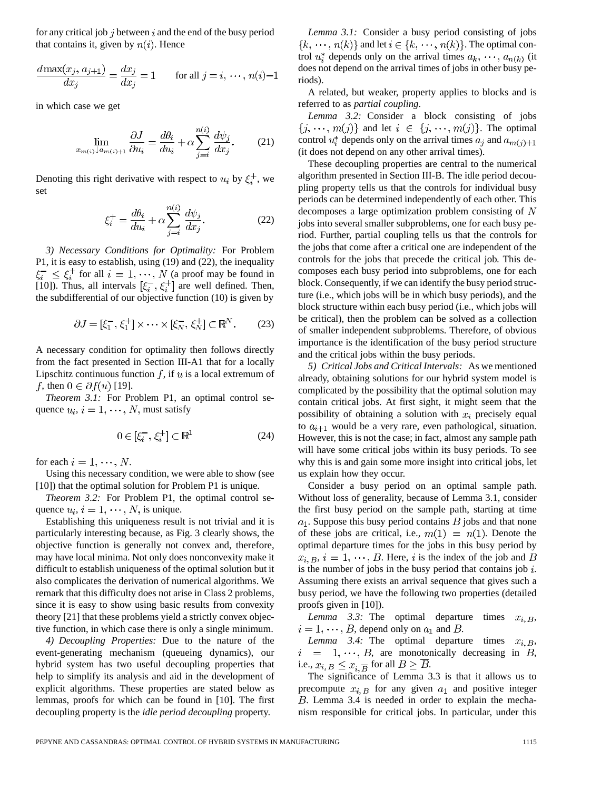for any critical job  $j$  between  $i$  and the end of the busy period that contains it, given by  $n(i)$ . Hence

$$
\frac{d \max(x_j, a_{j+1})}{dx_j} = \frac{dx_j}{dx_j} = 1 \quad \text{for all } j = i, \dots, n(i)-1
$$

in which case we get

$$
\lim_{x_{m(i)} \downarrow a_{m(i)+1}} \frac{\partial J}{\partial u_i} = \frac{d\theta_i}{du_i} + \alpha \sum_{j=i}^{n(i)} \frac{d\psi_j}{dx_j}.
$$
 (21)

Denoting this right derivative with respect to  $u_i$  by  $\xi_i^+$ , we set

$$
\xi_i^+ = \frac{d\theta_i}{du_i} + \alpha \sum_{j=i}^{n(i)} \frac{d\psi_j}{dx_j}.
$$
 (22)

*3) Necessary Conditions for Optimality:* For Problem P1, it is easy to establish, using (19) and (22), the inequality  $\xi_i^-\leq \xi_i^+$  for all  $i=1,\dots,N$  (a proof may be found in [10]). Thus, all intervals  $[\xi_i^-, \xi_i^+]$  are well defined. Then, the subdifferential of our objective function (10) is given by

$$
\partial J = [\xi_1^-, \xi_1^+] \times \cdots \times [\xi_N^-, \xi_N^+] \subset \mathbb{R}^N. \tag{23}
$$

A necessary condition for optimality then follows directly from the fact presented in Section III-A1 that for a locally Lipschitz continuous function  $f$ , if  $u$  is a local extremum of f, then  $0 \in \partial f(u)$  [19].

*Theorem 3.1:* For Problem P1, an optimal control sequence  $u_i$ ,  $i = 1, \dots, N$ , must satisfy

$$
0 \in [\xi_i^-, \xi_i^+] \subset \mathbb{R}^1 \tag{24}
$$

for each  $i = 1, \dots, N$ .

Using this necessary condition, we were able to show (see [10]) that the optimal solution for Problem P1 is unique.

*Theorem 3.2:* For Problem P1, the optimal control sequence  $u_i$ ,  $i = 1, \dots, N$ , is unique.

Establishing this uniqueness result is not trivial and it is particularly interesting because, as Fig. 3 clearly shows, the objective function is generally not convex and, therefore, may have local minima. Not only does nonconvexity make it difficult to establish uniqueness of the optimal solution but it also complicates the derivation of numerical algorithms. We remark that this difficulty does not arise in Class 2 problems, since it is easy to show using basic results from convexity theory [21] that these problems yield a strictly convex objective function, in which case there is only a single minimum.

*4) Decoupling Properties:* Due to the nature of the event-generating mechanism (queueing dynamics), our hybrid system has two useful decoupling properties that help to simplify its analysis and aid in the development of explicit algorithms. These properties are stated below as lemmas, proofs for which can be found in [10]. The first decoupling property is the *idle period decoupling* property.

*Lemma 3.1:* Consider a busy period consisting of jobs  $\{k, \dots, n(k)\}\$  and let  $i \in \{k, \dots, n(k)\}\$ . The optimal control  $u_i^*$  depends only on the arrival times  $a_k, \dots, a_{n(k)}$  (it does not depend on the arrival times of jobs in other busy periods).

A related, but weaker, property applies to blocks and is referred to as *partial coupling*.

*Lemma 3.2:* Consider a block consisting of jobs  $\{j, \dots, m(j)\}\$  and let  $i \in \{j, \dots, m(j)\}\$ . The optimal control  $u_i^*$  depends only on the arrival times  $a_i$  and  $a_{m(i)+1}$ (it does not depend on any other arrival times).

These decoupling properties are central to the numerical algorithm presented in Section III-B. The idle period decoupling property tells us that the controls for individual busy periods can be determined independently of each other. This decomposes a large optimization problem consisting of  $N$ jobs into several smaller subproblems, one for each busy period. Further, partial coupling tells us that the controls for the jobs that come after a critical one are independent of the controls for the jobs that precede the critical job. This decomposes each busy period into subproblems, one for each block. Consequently, if we can identify the busy period structure (i.e., which jobs will be in which busy periods), and the block structure within each busy period (i.e., which jobs will be critical), then the problem can be solved as a collection of smaller independent subproblems. Therefore, of obvious importance is the identification of the busy period structure and the critical jobs within the busy periods.

*5) Critical Jobs and Critical Intervals:* As we mentioned already, obtaining solutions for our hybrid system model is complicated by the possibility that the optimal solution may contain critical jobs. At first sight, it might seem that the possibility of obtaining a solution with  $x_i$  precisely equal to  $a_{i+1}$  would be a very rare, even pathological, situation. However, this is not the case; in fact, almost any sample path will have some critical jobs within its busy periods. To see why this is and gain some more insight into critical jobs, let us explain how they occur.

Consider a busy period on an optimal sample path. Without loss of generality, because of Lemma 3.1, consider the first busy period on the sample path, starting at time  $a_1$ . Suppose this busy period contains  $B$  jobs and that none of these jobs are critical, i.e.,  $m(1) = n(1)$ . Denote the optimal departure times for the jobs in this busy period by  $x_{i,B}, i = 1, \dots, B$ . Here, i is the index of the job and B is the number of jobs in the busy period that contains job  $i$ . Assuming there exists an arrival sequence that gives such a busy period, we have the following two properties (detailed proofs given in [10]).

*Lemma 3.3:* The optimal departure times  $x_{i,B}$ ,  $i = 1, \dots, B$ , depend only on  $a_1$  and B.

*Lemma 3.4:* The optimal departure times  $x_{i,B}$ ,  $i = 1, \dots, B$ , are monotonically decreasing in B, i.e.,  $x_{i,B} \leq x_{i,\overline{B}}$  for all  $B \geq \overline{B}$ .

The significance of Lemma 3.3 is that it allows us to precompute  $x_{i,B}$  for any given  $a_1$  and positive integer . Lemma 3.4 is needed in order to explain the mechanism responsible for critical jobs. In particular, under this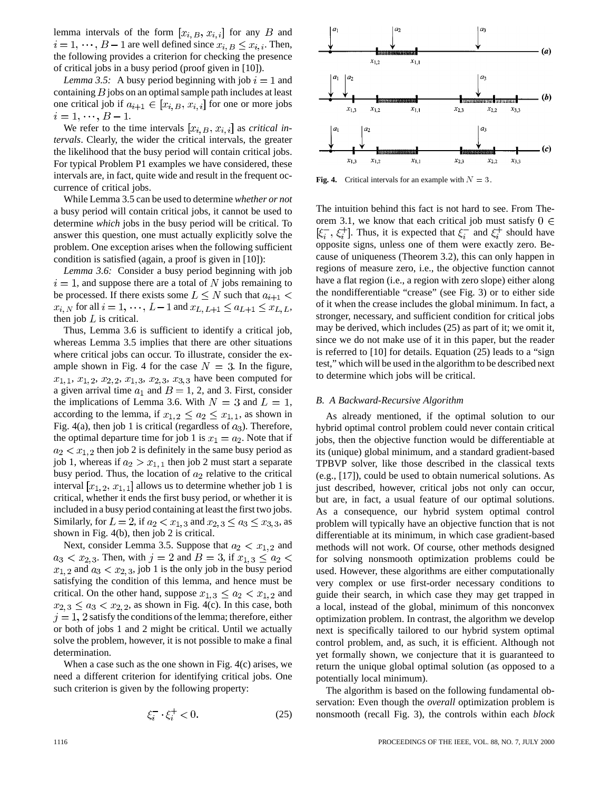lemma intervals of the form  $[x_{i,B}, x_{i,i}]$  for any B and  $i = 1, \dots, B-1$  are well defined since  $x_{i, B} \leq x_{i, i}$ . Then, the following provides a criterion for checking the presence of critical jobs in a busy period (proof given in [10]).

*Lemma 3.5:* A busy period beginning with job  $i = 1$  and containing  $B$  jobs on an optimal sample path includes at least one critical job if  $a_{i+1} \in [x_{i,B}, x_{i,i}]$  for one or more jobs  $i = 1, \dots, B - 1.$ 

We refer to the time intervals  $[x_{i,B}, x_{i,i}]$  as *critical intervals*. Clearly, the wider the critical intervals, the greater the likelihood that the busy period will contain critical jobs. For typical Problem P1 examples we have considered, these intervals are, in fact, quite wide and result in the frequent occurrence of critical jobs.

While Lemma 3.5 can be used to determine *whether or not* a busy period will contain critical jobs, it cannot be used to determine *which* jobs in the busy period will be critical. To answer this question, one must actually explicitly solve the problem. One exception arises when the following sufficient condition is satisfied (again, a proof is given in [10]):

*Lemma 3.6:* Consider a busy period beginning with job  $i = 1$ , and suppose there are a total of N jobs remaining to be processed. If there exists some  $L \leq N$  such that  $a_{i+1}$  $x_{i,N}$  for all  $i = 1, \dots, L-1$  and  $x_{L,L+1} \le a_{L+1} \le x_{L,L}$ , then job  $L$  is critical.

Thus, Lemma 3.6 is sufficient to identify a critical job, whereas Lemma 3.5 implies that there are other situations where critical jobs can occur. To illustrate, consider the example shown in Fig. 4 for the case  $N = 3$ . In the figure,  $x_{1,1}, x_{1,2}, x_{2,2}, x_{1,3}, x_{2,3}, x_{3,3}$  have been computed for a given arrival time  $a_1$  and  $B = 1, 2$ , and 3. First, consider the implications of Lemma 3.6. With  $N = 3$  and  $L = 1$ , according to the lemma, if  $x_{1,2} \le a_2 \le x_{1,1}$ , as shown in Fig. 4(a), then job 1 is critical (regardless of  $a_3$ ). Therefore, the optimal departure time for job 1 is  $x_1 = a_2$ . Note that if  $a_2 < x_{1,2}$  then job 2 is definitely in the same busy period as job 1, whereas if  $a_2 > x_{1,1}$  then job 2 must start a separate busy period. Thus, the location of  $a_2$  relative to the critical interval  $[x_1, 2, x_1, 1]$  allows us to determine whether job 1 is critical, whether it ends the first busy period, or whether it is included in a busy period containing at least the first two jobs. Similarly, for  $L = 2$ , if  $a_2 < x_{1,3}$  and  $x_{2,3} \le a_3 \le x_{3,3}$ , as shown in Fig. 4(b), then job 2 is critical.

Next, consider Lemma 3.5. Suppose that  $a_2 < x_{1,2}$  and  $a_3 < x_{2,3}$ . Then, with  $j = 2$  and  $B = 3$ , if  $x_{1,3} \le a_2 <$  $x_{1,2}$  and  $a_3 < x_{2,3}$ , job 1 is the only job in the busy period satisfying the condition of this lemma, and hence must be critical. On the other hand, suppose  $x_{1,3} \le a_2 < x_{1,2}$  and  $x_{2,3} \le a_3 < x_{2,2}$ , as shown in Fig. 4(c). In this case, both  $j = 1, 2$  satisfy the conditions of the lemma; therefore, either or both of jobs 1 and 2 might be critical. Until we actually solve the problem, however, it is not possible to make a final determination.

When a case such as the one shown in Fig. 4(c) arises, we need a different criterion for identifying critical jobs. One such criterion is given by the following property:

$$
\xi_i^- \cdot \xi_i^+ < 0. \tag{25}
$$



**Fig. 4.** Critical intervals for an example with  $N = 3$ .

The intuition behind this fact is not hard to see. From Theorem 3.1, we know that each critical job must satisfy  $0 \in$  $[\xi_i^-, \xi_i^+]$ . Thus, it is expected that  $\xi_i^-$  and  $\xi_i^+$  should have opposite signs, unless one of them were exactly zero. Because of uniqueness (Theorem 3.2), this can only happen in regions of measure zero, i.e., the objective function cannot have a flat region (i.e., a region with zero slope) either along the nondifferentiable "crease" (see Fig. 3) or to either side of it when the crease includes the global minimum. In fact, a stronger, necessary, and sufficient condition for critical jobs may be derived, which includes (25) as part of it; we omit it, since we do not make use of it in this paper, but the reader is referred to [10] for details. Equation (25) leads to a "sign test," which will be used in the algorithm to be described next to determine which jobs will be critical.

# *B. A Backward-Recursive Algorithm*

As already mentioned, if the optimal solution to our hybrid optimal control problem could never contain critical jobs, then the objective function would be differentiable at its (unique) global minimum, and a standard gradient-based TPBVP solver, like those described in the classical texts (e.g., [17]), could be used to obtain numerical solutions. As just described, however, critical jobs not only can occur, but are, in fact, a usual feature of our optimal solutions. As a consequence, our hybrid system optimal control problem will typically have an objective function that is not differentiable at its minimum, in which case gradient-based methods will not work. Of course, other methods designed for solving nonsmooth optimization problems could be used. However, these algorithms are either computationally very complex or use first-order necessary conditions to guide their search, in which case they may get trapped in a local, instead of the global, minimum of this nonconvex optimization problem. In contrast, the algorithm we develop next is specifically tailored to our hybrid system optimal control problem, and, as such, it is efficient. Although not yet formally shown, we conjecture that it is guaranteed to return the unique global optimal solution (as opposed to a potentially local minimum).

The algorithm is based on the following fundamental observation: Even though the *overall* optimization problem is nonsmooth (recall Fig. 3), the controls within each *block*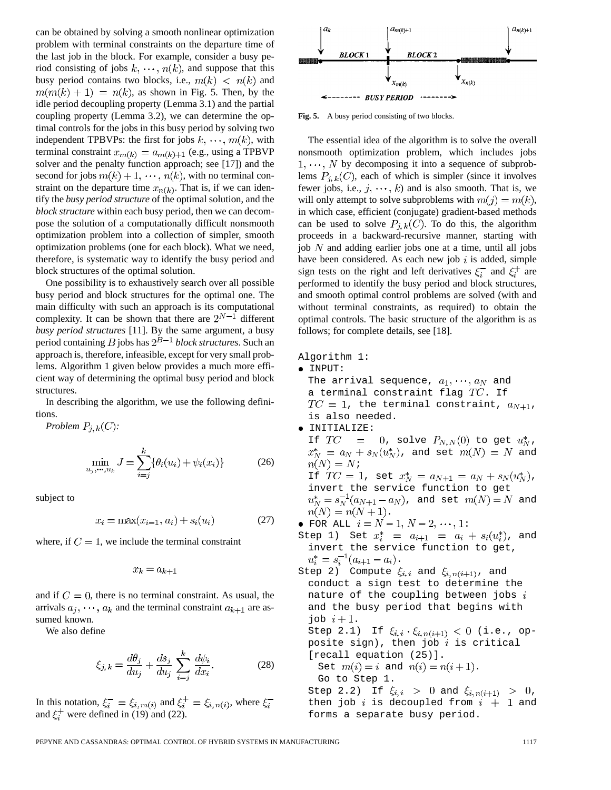can be obtained by solving a smooth nonlinear optimization problem with terminal constraints on the departure time of the last job in the block. For example, consider a busy period consisting of jobs  $k, \dots, n(k)$ , and suppose that this busy period contains two blocks, i.e.,  $m(k) < n(k)$  and  $m(m(k) + 1) = n(k)$ , as shown in Fig. 5. Then, by the idle period decoupling property (Lemma 3.1) and the partial coupling property (Lemma 3.2), we can determine the optimal controls for the jobs in this busy period by solving two independent TPBVPs: the first for jobs  $k, \dots, m(k)$ , with terminal constraint  $x_{m(k)} = a_{m(k)+1}$  (e.g., using a TPBVP solver and the penalty function approach; see [17]) and the second for jobs  $m(k) + 1, \dots, n(k)$ , with no terminal constraint on the departure time  $x_{n(k)}$ . That is, if we can identify the *busy period structure* of the optimal solution, and the *block structure* within each busy period, then we can decompose the solution of a computationally difficult nonsmooth optimization problem into a collection of simpler, smooth optimization problems (one for each block). What we need, therefore, is systematic way to identify the busy period and block structures of the optimal solution.

One possibility is to exhaustively search over all possible busy period and block structures for the optimal one. The main difficulty with such an approach is its computational complexity. It can be shown that there are  $2^{N-1}$  different *busy period structures* [11]. By the same argument, a busy period containing B jobs has  $2^{B-1}$  block structures. Such an approach is, therefore, infeasible, except for very small problems. Algorithm 1 given below provides a much more efficient way of determining the optimal busy period and block structures.

In describing the algorithm, we use the following definitions.

*Problem*  $P_{j,k}(C)$ *:* 

$$
\min_{u_j, \cdots, u_k} J = \sum_{i=j}^{k} \{ \theta_i(u_i) + \psi_i(x_i) \}
$$
 (26)

subject to

$$
x_i = \max(x_{i-1}, a_i) + s_i(u_i)
$$
 (27)

where, if  $C = 1$ , we include the terminal constraint

$$
x_k = a_{k+1}
$$

and if  $C = 0$ , there is no terminal constraint. As usual, the arrivals  $a_j, \dots, a_k$  and the terminal constraint  $a_{k+1}$  are assumed known.

We also define

$$
\xi_{j,k} = \frac{d\theta_j}{du_j} + \frac{ds_j}{du_j} \sum_{i=j}^{k} \frac{d\psi_i}{dx_i}.
$$
 (28)

In this notation,  $\xi_i^- = \xi_{i, m(i)}$  and  $\xi_i^+ = \xi_{i, n(i)}$ , where  $\xi_i^$ and  $\xi_i^+$  were defined in (19) and (22).



Fig. 5. A busy period consisting of two blocks.

The essential idea of the algorithm is to solve the overall nonsmooth optimization problem, which includes jobs  $1, \dots, N$  by decomposing it into a sequence of subproblems  $P_{i,k}(C)$ , each of which is simpler (since it involves fewer jobs, i.e.,  $j, \dots, k$ ) and is also smooth. That is, we will only attempt to solve subproblems with  $m(j) = m(k)$ , in which case, efficient (conjugate) gradient-based methods can be used to solve  $P_{j,k}(C)$ . To do this, the algorithm proceeds in a backward-recursive manner, starting with job  $N$  and adding earlier jobs one at a time, until all jobs have been considered. As each new job  $i$  is added, simple sign tests on the right and left derivatives  $\xi_i^-$  and  $\xi_i^+$  are performed to identify the busy period and block structures, and smooth optimal control problems are solved (with and without terminal constraints, as required) to obtain the optimal controls. The basic structure of the algorithm is as follows; for complete details, see [18].

Algorithm 1:

 $\bullet$  INPUT:

The arrival sequence,  $a_1, \dots, a_N$  and a terminal constraint flag  $TC$ . If  $TC = 1$ , the terminal constraint,  $a_{N+1}$ , is also needed.

INITIALIZE: If  $TC = 0$ , solve  $P_{N,N}(0)$  to get  $u_N^*$ ,  $x_N^* = a_N + s_N(u_N^*)$ , and set  $m(N) = N$  and  $n(N) = N;$ 

If  $TC = 1$ , set  $x_N^* = a_{N+1} = a_N + s_N(u_N^*)$ , invert the service function to get  $u_N^* = s_N^{-1}(a_{N+1} - a_N)$ , and set  $m(N) = N$  and  $n(N) = n(N + 1)$ .

- $i=N-1,N-2,\cdots,1\colon$
- Step 1) Set  $x_i^* = a_{i+1} = a_i + s_i(u_i^*)$ , and invert the service function to get, .
- Step 2) Compute  $\xi_{i,i}$  and  $\xi_{i,n(i+1)}$ , and conduct a sign test to determine the nature of the coupling between jobs  $i$ and the busy period that begins with job  $i+1$ . Step 2.1) If  $\xi_{i,i} \cdot \xi_{i,n(i+1)} < 0$  (i.e., opposite sign), then job  $i$  is critical

[recall equation (25)].

Set  $m(i) = i$  and  $n(i) = n(i+1)$ . Go to Step 1.

Step 2.2) If  $\xi_{i,i} > 0$  and  $\xi_{i,n(i+1)} > 0$ , then job  $i$  is decoupled from  $i + 1$  and forms a separate busy period.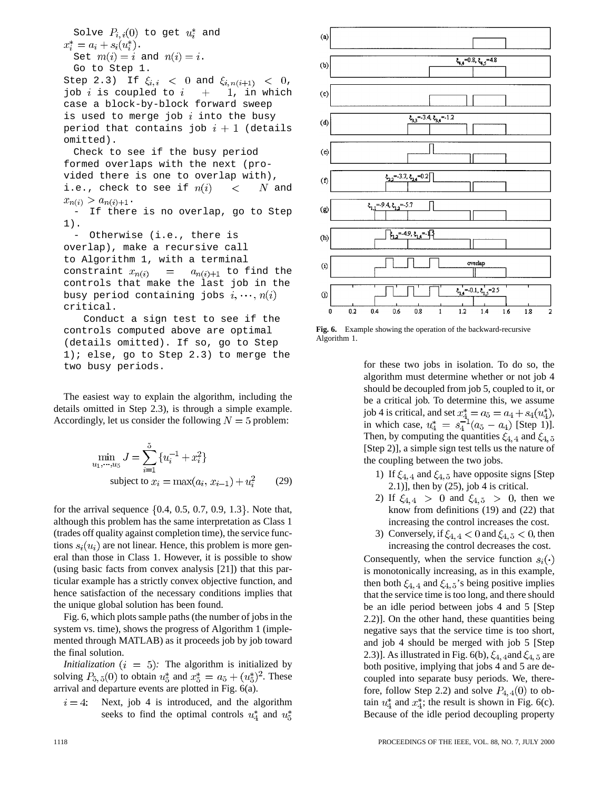Solve  $P_{i,i}(0)$  to get  $u_i^*$  and  $x_i^* = a_i + s_i(u_i^*).$ Set  $m(i) = i$  and  $n(i) = i$ . Go to Step 1.

Step 2.3) If  $\xi_{i,i}$  < 0 and  $\xi_{i,n(i+1)}$  < 0, job  $i$  is coupled to  $i + 1$ , in which case a block-by-block forward sweep is used to merge job  $i$  into the busy period that contains job  $i + 1$  (details omitted).

Check to see if the busy period formed overlaps with the next (provided there is one to overlap with), i.e., check to see if  $n(i)$  < N and  $x_{n(i)} > a_{n(i)+1}$ . If there is no overlap, go to Step 1). - Otherwise (i.e., there is overlap), make a recursive call to Algorithm 1, with a terminal constraint  $x_{n(i)} = a_{n(i)+1}$  to find the controls that make the last job in the busy period containing jobs  $i, \dots, n(i)$ 

critical. Conduct a sign test to see if the controls computed above are optimal (details omitted). If so, go to Step 1); else, go to Step 2.3) to merge the two busy periods.

The easiest way to explain the algorithm, including the details omitted in Step 2.3), is through a simple example. Accordingly, let us consider the following  $N = 5$  problem:

$$
\min_{u_1, \dots, u_5} J = \sum_{i=1}^5 \{u_i^{-1} + x_i^2\}
$$
  
subject to  $x_i = \max(a_i, x_{i-1}) + u_i^2$  (29)

for the arrival sequence  $\{0.4, 0.5, 0.7, 0.9, 1.3\}$ . Note that, although this problem has the same interpretation as Class 1 (trades off quality against completion time), the service functions  $s_i(u_i)$  are not linear. Hence, this problem is more general than those in Class 1. However, it is possible to show (using basic facts from convex analysis [21]) that this particular example has a strictly convex objective function, and hence satisfaction of the necessary conditions implies that the unique global solution has been found.

Fig. 6, which plots sample paths (the number of jobs in the system vs. time), shows the progress of Algorithm 1 (implemented through MATLAB) as it proceeds job by job toward the final solution.

*Initialization*  $(i = 5)$ : The algorithm is initialized by solving  $P_{5, 5}(0)$  to obtain  $u_5^*$  and  $x_5^* = a_5 + (u_5^*)^2$ . These arrival and departure events are plotted in Fig. 6(a).

 $i = 4$ : Next, job 4 is introduced, and the algorithm seeks to find the optimal controls  $u_4^*$  and  $u_5^*$ 



**Fig. 6.** Example showing the operation of the backward-recursive Algorithm 1.

for these two jobs in isolation. To do so, the algorithm must determine whether or not job 4 should be decoupled from job 5, coupled to it, or be a critical job. To determine this, we assume job 4 is critical, and set  $x_4^* = a_5 = a_4 + s_4(u_4^*),$ in which case,  $u_4^* = s_4^{-1}(a_5 - a_4)$  [Step 1)]. Then, by computing the quantities  $\xi_{4,4}$  and  $\xi_{4,5}$ [Step 2)], a simple sign test tells us the nature of the coupling between the two jobs.

- 1) If  $\xi_{4,4}$  and  $\xi_{4,5}$  have opposite signs [Step  $2.1$ ], then by  $(25)$ , job 4 is critical.
- 2) If  $\xi_{4,4} > 0$  and  $\xi_{4,5} > 0$ , then we know from definitions (19) and (22) that increasing the control increases the cost.
- 3) Conversely, if  $\xi_{4,4} < 0$  and  $\xi_{4,5} < 0$ , then increasing the control decreases the cost.

Consequently, when the service function  $s_i(\cdot)$ is monotonically increasing, as in this example, then both  $\xi_{4,4}$  and  $\xi_{4,5}$ 's being positive implies that the service time is too long, and there should be an idle period between jobs 4 and 5 [Step 2.2)]. On the other hand, these quantities being negative says that the service time is too short, and job 4 should be merged with job 5 [Step 2.3)]. As illustrated in Fig. 6(b),  $\xi_{4,4}$  and  $\xi_{4,5}$  are both positive, implying that jobs 4 and 5 are decoupled into separate busy periods. We, therefore, follow Step 2.2) and solve  $P_{4,4}(0)$  to obtain  $u_4^*$  and  $x_4^*$ ; the result is shown in Fig. 6(c). Because of the idle period decoupling property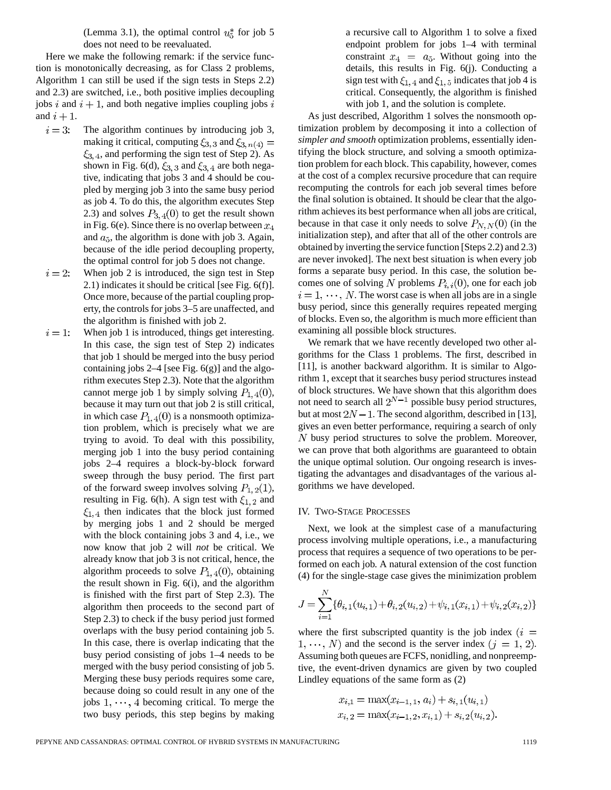(Lemma 3.1), the optimal control  $u_5^*$  for job 5 does not need to be reevaluated.

Here we make the following remark: if the service function is monotonically decreasing, as for Class 2 problems, Algorithm 1 can still be used if the sign tests in Steps 2.2) and 2.3) are switched, i.e., both positive implies decoupling jobs i and  $i + 1$ , and both negative implies coupling jobs i and  $i + 1$ .

- $i=3$ : The algorithm continues by introducing job 3, making it critical, computing  $\xi_{3,3}$  and  $\xi_{3,n(4)} =$  $\xi_{3,4}$ , and performing the sign test of Step 2). As shown in Fig. 6(d),  $\xi_{3,3}$  and  $\xi_{3,4}$  are both negative, indicating that jobs 3 and 4 should be coupled by merging job 3 into the same busy period as job 4. To do this, the algorithm executes Step 2.3) and solves  $P_{3,4}(0)$  to get the result shown in Fig. 6(e). Since there is no overlap between  $x_4$ and  $a_5$ , the algorithm is done with job 3. Again, because of the idle period decoupling property, the optimal control for job 5 does not change.
- $i=2$ : When job 2 is introduced, the sign test in Step 2.1) indicates it should be critical [see Fig. 6(f)]. Once more, because of the partial coupling property, the controls for jobs 3–5 are unaffected, and the algorithm is finished with job 2.
- $i=1$ : When job 1 is introduced, things get interesting. In this case, the sign test of Step 2) indicates that job 1 should be merged into the busy period containing jobs 2–4 [see Fig.  $6(g)$ ] and the algorithm executes Step 2.3). Note that the algorithm cannot merge job 1 by simply solving  $P_{1,4}(0)$ , because it may turn out that job 2 is still critical, in which case  $P_{1,4}(0)$  is a nonsmooth optimization problem, which is precisely what we are trying to avoid. To deal with this possibility, merging job 1 into the busy period containing jobs 2–4 requires a block-by-block forward sweep through the busy period. The first part of the forward sweep involves solving  $P_{1,2}(1)$ , resulting in Fig. 6(h). A sign test with  $\xi_{1,2}$  and  $\xi_{1,4}$  then indicates that the block just formed by merging jobs 1 and 2 should be merged with the block containing jobs 3 and 4, i.e., we now know that job 2 will *not* be critical. We already know that job 3 is not critical, hence, the algorithm proceeds to solve  $P_{1,4}(0)$ , obtaining the result shown in Fig. 6(i), and the algorithm is finished with the first part of Step 2.3). The algorithm then proceeds to the second part of Step 2.3) to check if the busy period just formed overlaps with the busy period containing job 5. In this case, there is overlap indicating that the busy period consisting of jobs 1–4 needs to be merged with the busy period consisting of job 5. Merging these busy periods requires some care, because doing so could result in any one of the jobs  $1, \dots, 4$  becoming critical. To merge the two busy periods, this step begins by making

a recursive call to Algorithm 1 to solve a fixed endpoint problem for jobs 1–4 with terminal constraint  $x_4 = a_5$ . Without going into the details, this results in Fig. 6(j). Conducting a sign test with  $\xi_{1,4}$  and  $\xi_{1,5}$  indicates that job 4 is critical. Consequently, the algorithm is finished with job 1, and the solution is complete.

As just described, Algorithm 1 solves the nonsmooth optimization problem by decomposing it into a collection of *simpler and smooth* optimization problems, essentially identifying the block structure, and solving a smooth optimization problem for each block. This capability, however, comes at the cost of a complex recursive procedure that can require recomputing the controls for each job several times before the final solution is obtained. It should be clear that the algorithm achieves its best performance when all jobs are critical, because in that case it only needs to solve  $P_{N,N}(0)$  (in the initialization step), and after that all of the other controls are obtained by inverting the service function [Steps 2.2) and 2.3) are never invoked]. The next best situation is when every job forms a separate busy period. In this case, the solution becomes one of solving N problems  $P_{i,i}(0)$ , one for each job  $i = 1, \dots, N$ . The worst case is when all jobs are in a single busy period, since this generally requires repeated merging of blocks. Even so, the algorithm is much more efficient than examining all possible block structures.

We remark that we have recently developed two other algorithms for the Class 1 problems. The first, described in [11], is another backward algorithm. It is similar to Algorithm 1, except that it searches busy period structures instead of block structures. We have shown that this algorithm does not need to search all  $2^{N-1}$  possible busy period structures, but at most  $2N - 1$ . The second algorithm, described in [13], gives an even better performance, requiring a search of only  $N$  busy period structures to solve the problem. Moreover, we can prove that both algorithms are guaranteed to obtain the unique optimal solution. Our ongoing research is investigating the advantages and disadvantages of the various algorithms we have developed.

# IV. TWO-STAGE PROCESSES

Next, we look at the simplest case of a manufacturing process involving multiple operations, i.e., a manufacturing process that requires a sequence of two operations to be performed on each job. A natural extension of the cost function (4) for the single-stage case gives the minimization problem

$$
J = \sum_{i=1}^{N} \{ \theta_{i,1}(u_{i,1}) + \theta_{i,2}(u_{i,2}) + \psi_{i,1}(x_{i,1}) + \psi_{i,2}(x_{i,2}) \}
$$

where the first subscripted quantity is the job index  $(i =$  $1, \dots, N$  and the second is the server index  $(j = 1, 2)$ . Assuming both queues are FCFS, nonidling, and nonpreemptive, the event-driven dynamics are given by two coupled Lindley equations of the same form as (2)

$$
x_{i,1} = \max(x_{i-1,1}, a_i) + s_{i,1}(u_{i,1})
$$
  

$$
x_{i,2} = \max(x_{i-1,2}, x_{i,1}) + s_{i,2}(u_{i,2}).
$$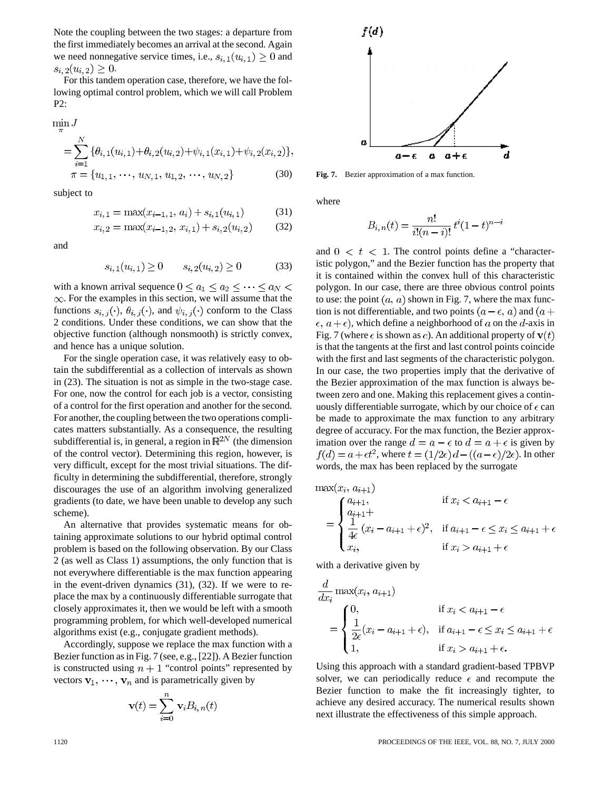Note the coupling between the two stages: a departure from the first immediately becomes an arrival at the second. Again we need nonnegative service times, i.e.,  $s_{i,1}(u_{i,1}) \geq 0$  and  $s_{i,2}(u_{i,2}) \geq 0.$ 

For this tandem operation case, therefore, we have the following optimal control problem, which we will call Problem P2:

$$
\min_{\pi} J
$$
\n
$$
= \sum_{i=1}^{N} \{ \theta_{i,1}(u_{i,1}) + \theta_{i,2}(u_{i,2}) + \psi_{i,1}(x_{i,1}) + \psi_{i,2}(x_{i,2}) \},
$$
\n
$$
\pi = \{ u_{1,1}, \dots, u_{N,1}, u_{1,2}, \dots, u_{N,2} \}
$$
\n(30)

subject to

$$
x_{i,1} = \max(x_{i-1,1}, a_i) + s_{i,1}(u_{i,1})
$$
 (31)

$$
x_{i,2} = \max(x_{i-1,2}, x_{i,1}) + s_{i,2}(u_{i,2})
$$
 (32)

and

$$
s_{i,1}(u_{i,1}) \ge 0 \t s_{i,2}(u_{i,2}) \ge 0 \t (33)
$$

with a known arrival sequence  $0 \le a_1 \le a_2 \le \cdots \le a_N <$  $\infty$ . For the examples in this section, we will assume that the functions  $s_{i, j}(\cdot)$ ,  $\theta_{i, j}(\cdot)$ , and  $\psi_{i, j}(\cdot)$  conform to the Class 2 conditions. Under these conditions, we can show that the objective function (although nonsmooth) is strictly convex, and hence has a unique solution.

For the single operation case, it was relatively easy to obtain the subdifferential as a collection of intervals as shown in (23). The situation is not as simple in the two-stage case. For one, now the control for each job is a vector, consisting of a control for the first operation and another for the second. For another, the coupling between the two operations complicates matters substantially. As a consequence, the resulting subdifferential is, in general, a region in  $\mathbb{R}^{2N}$  (the dimension of the control vector). Determining this region, however, is very difficult, except for the most trivial situations. The difficulty in determining the subdifferential, therefore, strongly discourages the use of an algorithm involving generalized gradients (to date, we have been unable to develop any such scheme).

An alternative that provides systematic means for obtaining approximate solutions to our hybrid optimal control problem is based on the following observation. By our Class 2 (as well as Class 1) assumptions, the only function that is not everywhere differentiable is the max function appearing in the event-driven dynamics (31), (32). If we were to replace the max by a continuously differentiable surrogate that closely approximates it, then we would be left with a smooth programming problem, for which well-developed numerical algorithms exist (e.g., conjugate gradient methods).

Accordingly, suppose we replace the max function with a Bezier function as in Fig. 7 (see, e.g., [22]). A Bezier function is constructed using  $n + 1$  "control points" represented by vectors  $\mathbf{v}_1, \dots, \mathbf{v}_n$  and is parametrically given by

$$
\mathbf{v}(t) = \sum_{i=0}^{n} \mathbf{v}_{i} B_{i, n}(t)
$$



**Fig. 7.** Bezier approximation of a max function.

where

$$
B_{i, n}(t) = \frac{n!}{i!(n-i)!} t^{i} (1-t)^{n-i}
$$

and  $0 \lt t \lt 1$ . The control points define a "characteristic polygon," and the Bezier function has the property that it is contained within the convex hull of this characteristic polygon. In our case, there are three obvious control points to use: the point  $(a, a)$  shown in Fig. 7, where the max function is not differentiable, and two points  $(a - \epsilon, a)$  and  $(a +$  $\epsilon$ ,  $a + \epsilon$ ), which define a neighborhood of a on the d-axis in Fig. 7 (where  $\epsilon$  is shown as  $\epsilon$ ). An additional property of  $\mathbf{v}(t)$ is that the tangents at the first and last control points coincide with the first and last segments of the characteristic polygon. In our case, the two properties imply that the derivative of the Bezier approximation of the max function is always between zero and one. Making this replacement gives a continuously differentiable surrogate, which by our choice of  $\epsilon$  can be made to approximate the max function to any arbitrary degree of accuracy. For the max function, the Bezier approximation over the range  $d = a - \epsilon$  to  $d = a + \epsilon$  is given by  $f(d) = a + \epsilon t^2$ , where  $t = (1/2\epsilon) d - ((a - \epsilon)/2\epsilon)$ . In other words, the max has been replaced by the surrogate

$$
\max(x_i, a_{i+1})
$$

$$
= \begin{cases} a_{i+1}, & \text{if } x_i < a_{i+1} - \epsilon \\ \frac{1}{4\epsilon} (x_i - a_{i+1} + \epsilon)^2, & \text{if } a_{i+1} - \epsilon \le x_i \le a_{i+1} + \epsilon \\ x_i, & \text{if } x_i > a_{i+1} + \epsilon \end{cases}
$$

with a derivative given by

$$
\frac{d}{dx_i} \max(x_i, a_{i+1})
$$
\n
$$
= \begin{cases}\n0, & \text{if } x_i < a_{i+1} - \epsilon \\
\frac{1}{2\epsilon}(x_i - a_{i+1} + \epsilon), & \text{if } a_{i+1} - \epsilon \le x_i \le a_{i+1} + \epsilon \\
1, & \text{if } x_i > a_{i+1} + \epsilon.\n\end{cases}
$$

Using this approach with a standard gradient-based TPBVP solver, we can periodically reduce  $\epsilon$  and recompute the Bezier function to make the fit increasingly tighter, to achieve any desired accuracy. The numerical results shown next illustrate the effectiveness of this simple approach.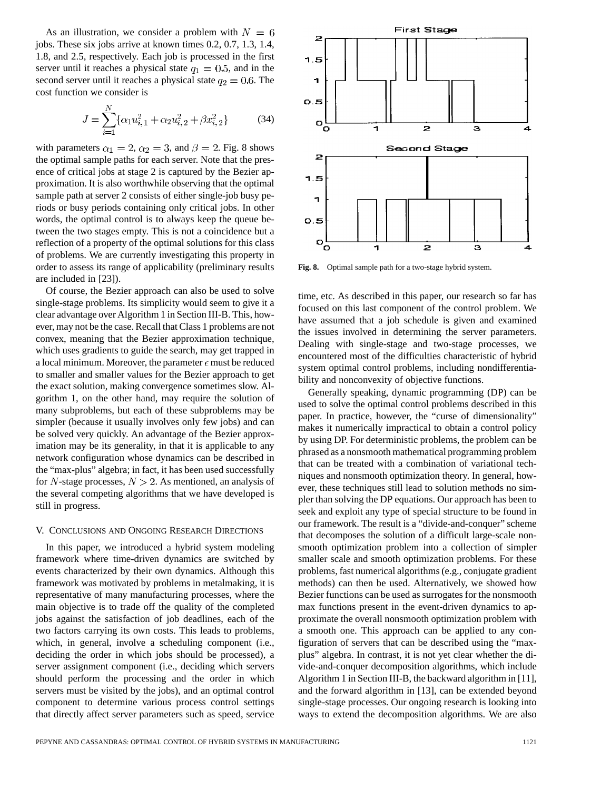As an illustration, we consider a problem with  $N = 6$ jobs. These six jobs arrive at known times 0.2, 0.7, 1.3, 1.4, 1.8, and 2.5, respectively. Each job is processed in the first server until it reaches a physical state  $q_1 = 0.5$ , and in the second server until it reaches a physical state  $q_2 = 0.6$ . The cost function we consider is

$$
J = \sum_{i=1}^{N} \{ \alpha_1 u_{i,1}^2 + \alpha_2 u_{i,2}^2 + \beta x_{i,2}^2 \}
$$
 (34)

with parameters  $\alpha_1 = 2$ ,  $\alpha_2 = 3$ , and  $\beta = 2$ . Fig. 8 shows the optimal sample paths for each server. Note that the presence of critical jobs at stage 2 is captured by the Bezier approximation. It is also worthwhile observing that the optimal sample path at server 2 consists of either single-job busy periods or busy periods containing only critical jobs. In other words, the optimal control is to always keep the queue between the two stages empty. This is not a coincidence but a reflection of a property of the optimal solutions for this class of problems. We are currently investigating this property in order to assess its range of applicability (preliminary results are included in [23]).

Of course, the Bezier approach can also be used to solve single-stage problems. Its simplicity would seem to give it a clear advantage over Algorithm 1 in Section III-B. This, however, may not be the case. Recall that Class 1 problems are not convex, meaning that the Bezier approximation technique, which uses gradients to guide the search, may get trapped in a local minimum. Moreover, the parameter  $\epsilon$  must be reduced to smaller and smaller values for the Bezier approach to get the exact solution, making convergence sometimes slow. Algorithm 1, on the other hand, may require the solution of many subproblems, but each of these subproblems may be simpler (because it usually involves only few jobs) and can be solved very quickly. An advantage of the Bezier approximation may be its generality, in that it is applicable to any network configuration whose dynamics can be described in the "max-plus" algebra; in fact, it has been used successfully for N-stage processes,  $N > 2$ . As mentioned, an analysis of the several competing algorithms that we have developed is still in progress.

#### V. CONCLUSIONS AND ONGOING RESEARCH DIRECTIONS

In this paper, we introduced a hybrid system modeling framework where time-driven dynamics are switched by events characterized by their own dynamics. Although this framework was motivated by problems in metalmaking, it is representative of many manufacturing processes, where the main objective is to trade off the quality of the completed jobs against the satisfaction of job deadlines, each of the two factors carrying its own costs. This leads to problems, which, in general, involve a scheduling component (i.e., deciding the order in which jobs should be processed), a server assignment component (i.e., deciding which servers should perform the processing and the order in which servers must be visited by the jobs), and an optimal control component to determine various process control settings that directly affect server parameters such as speed, service



**Fig. 8.** Optimal sample path for a two-stage hybrid system.

time, etc. As described in this paper, our research so far has focused on this last component of the control problem. We have assumed that a job schedule is given and examined the issues involved in determining the server parameters. Dealing with single-stage and two-stage processes, we encountered most of the difficulties characteristic of hybrid system optimal control problems, including nondifferentiability and nonconvexity of objective functions.

Generally speaking, dynamic programming (DP) can be used to solve the optimal control problems described in this paper. In practice, however, the "curse of dimensionality" makes it numerically impractical to obtain a control policy by using DP. For deterministic problems, the problem can be phrased as a nonsmooth mathematical programming problem that can be treated with a combination of variational techniques and nonsmooth optimization theory. In general, however, these techniques still lead to solution methods no simpler than solving the DP equations. Our approach has been to seek and exploit any type of special structure to be found in our framework. The result is a "divide-and-conquer" scheme that decomposes the solution of a difficult large-scale nonsmooth optimization problem into a collection of simpler smaller scale and smooth optimization problems. For these problems, fast numerical algorithms (e.g., conjugate gradient methods) can then be used. Alternatively, we showed how Bezier functions can be used as surrogates for the nonsmooth max functions present in the event-driven dynamics to approximate the overall nonsmooth optimization problem with a smooth one. This approach can be applied to any configuration of servers that can be described using the "maxplus" algebra. In contrast, it is not yet clear whether the divide-and-conquer decomposition algorithms, which include Algorithm 1 in Section III-B, the backward algorithm in [11], and the forward algorithm in [13], can be extended beyond single-stage processes. Our ongoing research is looking into ways to extend the decomposition algorithms. We are also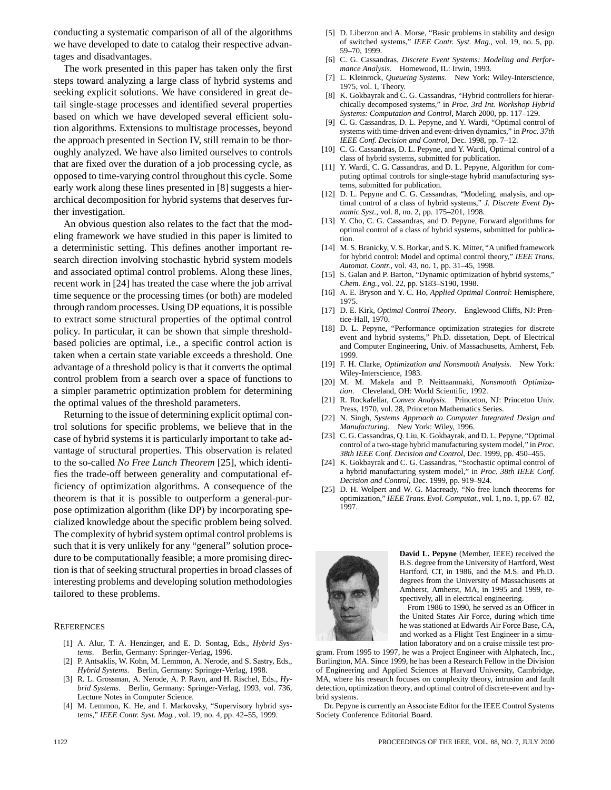conducting a systematic comparison of all of the algorithms we have developed to date to catalog their respective advantages and disadvantages.

The work presented in this paper has taken only the first steps toward analyzing a large class of hybrid systems and seeking explicit solutions. We have considered in great detail single-stage processes and identified several properties based on which we have developed several efficient solution algorithms. Extensions to multistage processes, beyond the approach presented in Section IV, still remain to be thoroughly analyzed. We have also limited ourselves to controls that are fixed over the duration of a job processing cycle, as opposed to time-varying control throughout this cycle. Some early work along these lines presented in [8] suggests a hierarchical decomposition for hybrid systems that deserves further investigation.

An obvious question also relates to the fact that the modeling framework we have studied in this paper is limited to a deterministic setting. This defines another important research direction involving stochastic hybrid system models and associated optimal control problems. Along these lines, recent work in [24] has treated the case where the job arrival time sequence or the processing times (or both) are modeled through random processes. Using DP equations, it is possible to extract some structural properties of the optimal control policy. In particular, it can be shown that simple thresholdbased policies are optimal, i.e., a specific control action is taken when a certain state variable exceeds a threshold. One advantage of a threshold policy is that it converts the optimal control problem from a search over a space of functions to a simpler parametric optimization problem for determining the optimal values of the threshold parameters.

Returning to the issue of determining explicit optimal control solutions for specific problems, we believe that in the case of hybrid systems it is particularly important to take advantage of structural properties. This observation is related to the so-called *No Free Lunch Theorem* [25], which identifies the trade-off between generality and computational efficiency of optimization algorithms. A consequence of the theorem is that it is possible to outperform a general-purpose optimization algorithm (like DP) by incorporating specialized knowledge about the specific problem being solved. The complexity of hybrid system optimal control problems is such that it is very unlikely for any "general" solution procedure to be computationally feasible; a more promising direction is that of seeking structural properties in broad classes of interesting problems and developing solution methodologies tailored to these problems.

#### **REFERENCES**

- [1] A. Alur, T. A. Henzinger, and E. D. Sontag, Eds., *Hybrid Systems*. Berlin, Germany: Springer-Verlag, 1996.
- [2] P. Antsaklis, W. Kohn, M. Lemmon, A. Nerode, and S. Sastry, Eds., *Hybrid Systems*. Berlin, Germany: Springer-Verlag, 1998.
- [3] R. L. Grossman, A. Nerode, A. P. Ravn, and H. Rischel, Eds., *Hybrid Systems*. Berlin, Germany: Springer-Verlag, 1993, vol. 736, Lecture Notes in Computer Science.
- [4] M. Lemmon, K. He, and I. Markovsky, "Supervisory hybrid systems," *IEEE Contr. Syst. Mag.*, vol. 19, no. 4, pp. 42–55, 1999.
- [5] D. Liberzon and A. Morse, "Basic problems in stability and design of switched systems," *IEEE Contr. Syst. Mag.*, vol. 19, no. 5, pp. 59–70, 1999.
- [6] C. G. Cassandras, *Discrete Event Systems: Modeling and Performance Analysis*. Homewood, IL: Irwin, 1993.
- [7] L. Kleinrock, *Queueing Systems*. New York: Wiley-Interscience, 1975, vol. I, Theory.
- [8] K. Gokbayrak and C. G. Cassandras, "Hybrid controllers for hierarchically decomposed systems," in *Proc. 3rd Int. Workshop Hybrid Systems: Computation and Control*, March 2000, pp. 117–129.
- [9] C. G. Cassandras, D. L. Pepyne, and Y. Wardi, "Optimal control of systems with time-driven and event-driven dynamics," in *Proc. 37th IEEE Conf. Decision and Control*, Dec. 1998, pp. 7–12.
- [10] C. G. Cassandras, D. L. Pepyne, and Y. Wardi, Optimal control of a class of hybrid systems, submitted for publication.
- [11] Y. Wardi, C. G. Cassandras, and D. L. Pepyne, Algorithm for computing optimal controls for single-stage hybrid manufacturing systems, submitted for publication.
- [12] D. L. Pepyne and C. G. Cassandras, "Modeling, analysis, and optimal control of a class of hybrid systems," *J. Discrete Event Dynamic Syst.*, vol. 8, no. 2, pp. 175–201, 1998.
- [13] Y. Cho, C. G. Cassandras, and D. Pepyne, Forward algorithms for optimal control of a class of hybrid systems, submitted for publication.
- [14] M. S. Branicky, V. S. Borkar, and S. K. Mitter, "A unified framework for hybrid control: Model and optimal control theory," *IEEE Trans. Automat. Contr.*, vol. 43, no. 1, pp. 31–45, 1998.
- [15] S. Galan and P. Barton, "Dynamic optimization of hybrid systems," *Chem. Eng.*, vol. 22, pp. S183–S190, 1998.
- [16] A. E. Bryson and Y. C. Ho, *Applied Optimal Control*: Hemisphere, 1975.
- [17] D. E. Kirk, *Optimal Control Theory*. Englewood Cliffs, NJ: Prentice-Hall, 1970.
- [18] D. L. Pepyne, "Performance optimization strategies for discrete event and hybrid systems," Ph.D. dissetation, Dept. of Electrical and Computer Engineering, Univ. of Massachusetts, Amherst, Feb. 1999.
- [19] F. H. Clarke, *Optimization and Nonsmooth Analysis*. New York: Wiley-Interscience, 1983.
- [20] M. M. Makela and P. Neittaanmaki, *Nonsmooth Optimization*. Cleveland, OH: World Scientific, 1992.
- [21] R. Rockafellar, *Convex Analysis*. Princeton, NJ: Princeton Univ. Press, 1970, vol. 28, Princeton Mathematics Series.
- [22] N. Singh, *Systems Approach to Computer Integrated Design and Manufacturing*. New York: Wiley, 1996.
- [23] C. G. Cassandras, Q. Liu, K. Gokbayrak, and D. L. Pepyne, "Optimal control of a two-stage hybrid manufacturing system model," in *Proc. 38th IEEE Conf. Decision and Control*, Dec. 1999, pp. 450–455.
- [24] K. Gokbayrak and C. G. Cassandras, "Stochastic optimal control of a hybrid manufacturing system model," in *Proc. 38th IEEE Conf. Decision and Control*, Dec. 1999, pp. 919–924.
- [25] D. H. Wolpert and W. G. Macready, "No free lunch theorems for optimization," *IEEE Trans. Evol. Computat.*, vol. 1, no. 1, pp. 67–82, 1997.



**David L. Pepyne** (Member, IEEE) received the B.S. degree from the University of Hartford, West Hartford, CT, in 1986, and the M.S. and Ph.D. degrees from the University of Massachusetts at Amherst, Amherst, MA, in 1995 and 1999, respectively, all in electrical engineering.

From 1986 to 1990, he served as an Officer in the United States Air Force, during which time he was stationed at Edwards Air Force Base, CA, and worked as a Flight Test Engineer in a simulation laboratory and on a cruise missile test pro-

gram. From 1995 to 1997, he was a Project Engineer with Alphatech, Inc., Burlington, MA. Since 1999, he has been a Research Fellow in the Division of Engineering and Applied Sciences at Harvard University, Cambridge, MA, where his research focuses on complexity theory, intrusion and fault detection, optimization theory, and optimal control of discrete-event and hybrid systems.

Dr. Pepyne is currently an Associate Editor for the IEEE Control Systems Society Conference Editorial Board.